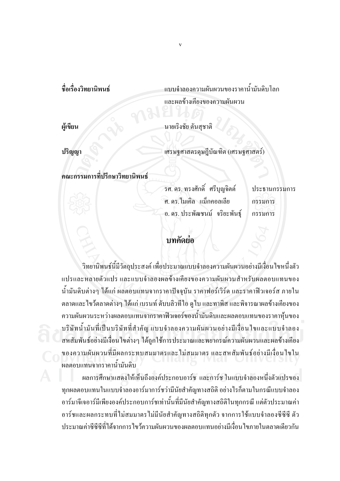ู้ ซื้อเรื่องวิทยานิพนธ์

้แบบจำลองความผันผวนของราคาน้ำมันดิบโลก และผลข้างเคียงของความผันผวน

นายเริงชัย ตันสุชาติ

ผ้เขียน

ปริญญา

เศรษฐศาสตรดุษฎีบัณฑิต (เศรษฐศาสตร์)

ึดณะกรรมการที่ปรึกษาวิทยานิพนธ์

ิรศ. คร. ทรงศักดิ์ ศรีบุญจิตต์ ประธานกรรมการ ิศ. คร. ไมเคิล แม็กคอลเลีย กรรมการ อ. คร. ประพัฒชนม์ จริยะพันธุ์ กรรมการ

## บทคัดย่อ

้วิทยานิพนธ์นี้มีวัตถประสงค์ เพื่อประมาณแบบจำลองความผันผวนอย่างมีเงื่อนไขหนึ่งตัว แปรและหลายตัวแปร และแบบจำลองผลข้างเคียงของความผันผวนสำหรับผลตอบแทนของ ้ น้ำมันดิบต่างๆ ได้แก่ ผลตอบแทนจากราคาปัจจุบัน ราคาฟอร์เวิร์ด และราคาฟิวเจอร์ส ภายใน ็ตลาดและไขว้ตลาดต่างๆ ได้แก่ เบรนท์ ดับบลิวที่ไอ ดูไบ และทาพิส และพิจารณาผลข้างเคียงของ ความผันผวนระหว่างผลตอบแทนจากราคาฟิวเจอร์ของน้ำมันดิบและผลตอบแทนของราคาหุ้นของ ึบริษัทน้ำมันที่เป็นบริษัทที่สำคัญ แบบจำลองความผันผวนอย่างมีเงื่อนไขและแบบจำลอง ิสหสัมพันธ์อย่างมีเงื่อนไขต่างๆ ได้ถูกใช้การประมาณและพยากรณ์ความผันผวนและผลข้างเคียง ของความผันผวนที่มีผลกระทบสมมาตรและใม่สมมาตร และสหสัมพันธ์อย่างมีเงื่อนใขใน ผลตอบแทนจากราคาน้ำมันดิบ

ผลการศึกษาแสดงให้เห็นถึงองค์ประกอบอาร์ช และการ์ช ในแบบจำลองหนึ่งตัวแปรของ ทุกผลตอบแทนในแบบจำลองอาร์มาการ์ชว่ามีนัยสำคัญทางสถิติ อย่างไรก็ตามในกรณีแบบจำลอง ้อาร์มาจีเจอาร์มีเพียงองค์ประกอบการ์ชเท่านั้นที่มีนัยสำคัญทางสถิติในทุกกรณี แต่ตัวประมาณค่า ่ อาร์ชและผลกระทบที่ไม่สมมาตรไม่มีนัยสำคัญทางสถิติทุกตัว จากการใช้แบบจำลองซีซีซี ตัว ประมาณค่าซีซีซีที่ได้จากการไขว้ความผันผวนของผลตอบแทนอย่างมีเงื่อนไขภายในตลาดเดียวกัน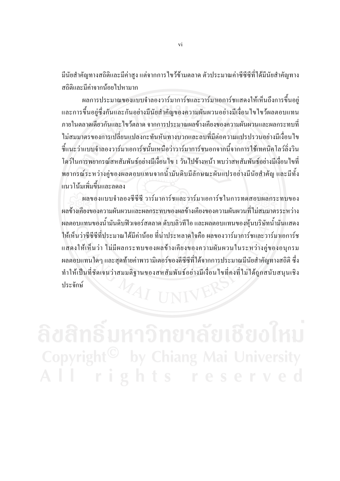้มีนัยสำคัญทางสถิติและมีค่าสูง แต่จากการ ไขว้ข้ามตลาด ตัวประมาณค่าซีซีซีที่ได้มีนัยสำคัญทาง สถิติและมีค่าจากน้อยไปหามาก

ผลการประมาณของแบบจำลองวาร์มาการ์ชและวาร์มาเอการ์ชแสดงให้เห็นถึงการขึ้นอยู่ และการขึ้นอยู่ซึ่งกันและกันอย่างมีนัยสำคัญของความผันผวนอย่างมีเงื่อนไขไขว้ผลตอบแทน ภายในตลาดเดียวกันและไขว้ตลาด จากการประมาณผลข้างเคียงของความผันผวนและผลกระทบที่ ใม่สมมาตรของการเปลี่ยนแปลงกะทันหันทางบวกและลบที่มีต่อความแปรปรวนอย่างมีเงื่อนไข ที่แนะว่าแบบจำลองวาร์มาเอการ์ชนั้นเหนือว่าวาร์มาการ์ชนอกจากนี้จากการใช้เทอนิคโลว์ลิ่งวิน โคว์ในการพยากรณ์สหสัมพันธ์อย่างมีเงื่อนไข 1 วันไปข้างหน้า พบว่าสหสัมพันธ์อย่างมีเงื่อนไขที่ พยากรณ์ระหว่างคู่ของผลตอบแทนจากน้ำมันดิบมีลักษณะผันแปรอย่างมีนัยสำคัญ และมีทั้ง แบวโบ้มเพิ่มขึ้นและลดลง

ผลของแบบกำลองซีซีซี วาร์บาการ์ชและวาร์บาเอการ์ชใบการทดสอบผลกระทบของ ผลข้างเคียงของความผันผวนและผลกระทบของผลข้างเคียงของความผันผวนที่ไม่สมมาตรระหว่าง ้ผลตอบแทนของน้ำมันคิบฟิวเจอร์สตลาด ดับบลิวที่ใอ และผลตอบแทนของหุ้นบริษัทน้ำมันแสดง ให้เห็นว่าซีซีซีที่ประมาณได้มีค่าน้อย ที่น่าประหลาดใจคือ ผลของวาร์มาการ์ชและวาร์มาเอการ์ช แสดงให้เห็นว่า ไม่มีผลกระทบของผลข้างเคียงของความผันผวนในระหว่างคู่ของอนุกรม ี ผลตอบแทนใดๆ และสุดท้ายค่าพารามิเตอร์ของดีซีซีที่ได้จากการประมาณมีนัยสำคัญทางสถิติ ซึ่ง ทำให้เป็นที่ชัดเจนว่าสมมติฐานของสหสัมพันธ์อย่างมีเงื่อนไขที่คงที่ไม่ได้ถูกสนับสนุนเชิง ประจักน์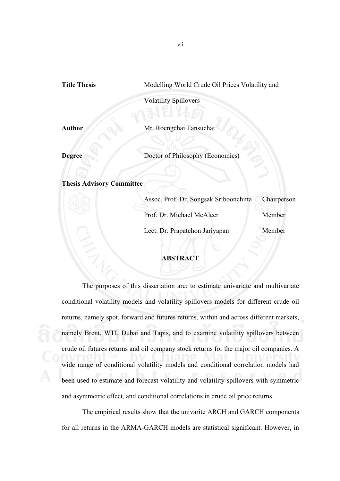**Title Thesis** Modelling World Crude Oil Prices Volatility and

Volatility Spillovers

**Author Mr. Roengchai Tansuchat** 

**Degree Constant Constant Doctor of Philosophy (Economics)** 

**Thesis Advisory Committee** 

 Assoc. Prof. Dr. Songsak Sriboonchitta Chairperson Prof. Dr. Michael McAleer Member Lect. Dr. Prapatchon Jariyapan Member

## **ABSTRACT**

 The purposes of this dissertation are: to estimate univariate and multivariate conditional volatility models and volatility spillovers models for different crude oil returns, namely spot, forward and futures returns, within and across different markets, namely Brent, WTI, Dubai and Tapis, and to examine volatility spillovers between crude oil futures returns and oil company stock returns for the major oil companies. A wide range of conditional volatility models and conditional correlation models had been used to estimate and forecast volatility and volatility spillovers with symmetric and asymmetric effect, and conditional correlations in crude oil price returns.

 The empirical results show that the univarite ARCH and GARCH components for all returns in the ARMA-GARCH models are statistical significant. However, in